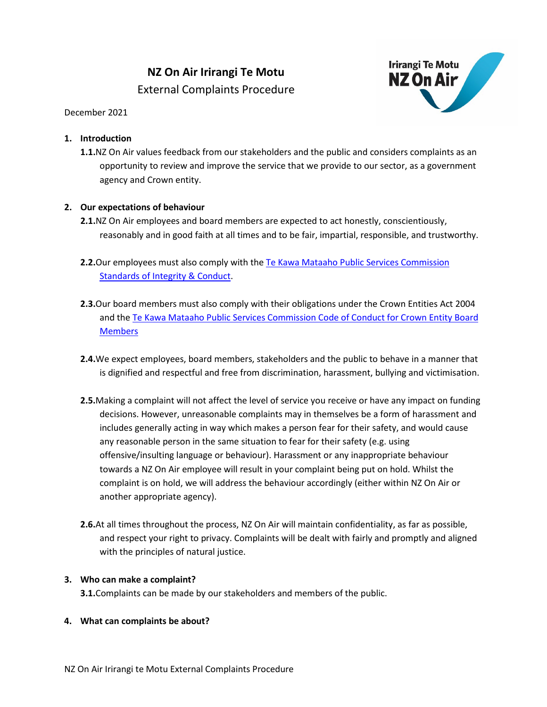# **NZ On Air Irirangi Te Motu** External Complaints Procedure



# December 2021

# **1. Introduction**

**1.1.**NZ On Air values feedback from our stakeholders and the public and considers complaints as an opportunity to review and improve the service that we provide to our sector, as a government agency and Crown entity.

# **2. Our expectations of behaviour**

- **2.1.**NZ On Air employees and board members are expected to act honestly, conscientiously, reasonably and in good faith at all times and to be fair, impartial, responsible, and trustworthy.
- **2.2.**Our employees must also comply with th[e Te Kawa Mataaho Public Services Commission](https://www.publicservice.govt.nz/resources/code/) [Standards of Integrity & Conduct.](https://www.publicservice.govt.nz/resources/code/)
- **2.3.**Our board members must also comply with their obligations under the Crown Entities Act 2004 and the [Te Kawa Mataaho Public Services Commission Code of Conduct for Crown Entity Board](https://www.publicservice.govt.nz/our-work/integrityandconduct/coc-for-crown-entity-board-members/)  **[Members](https://www.publicservice.govt.nz/our-work/integrityandconduct/coc-for-crown-entity-board-members/)**
- **2.4.**We expect employees, board members, stakeholders and the public to behave in a manner that is dignified and respectful and free from discrimination, harassment, bullying and victimisation.
- **2.5.**Making a complaint will not affect the level of service you receive or have any impact on funding decisions. However, unreasonable complaints may in themselves be a form of harassment and includes generally acting in way which makes a person fear for their safety, and would cause any reasonable person in the same situation to fear for their safety (e.g. using offensive/insulting language or behaviour). Harassment or any inappropriate behaviour towards a NZ On Air employee will result in your complaint being put on hold. Whilst the complaint is on hold, we will address the behaviour accordingly (either within NZ On Air or another appropriate agency).
- **2.6.**At all times throughout the process, NZ On Air will maintain confidentiality, as far as possible, and respect your right to privacy. Complaints will be dealt with fairly and promptly and aligned with the principles of natural justice.

## **3. Who can make a complaint?**

**3.1.**Complaints can be made by our stakeholders and members of the public.

## **4. What can complaints be about?**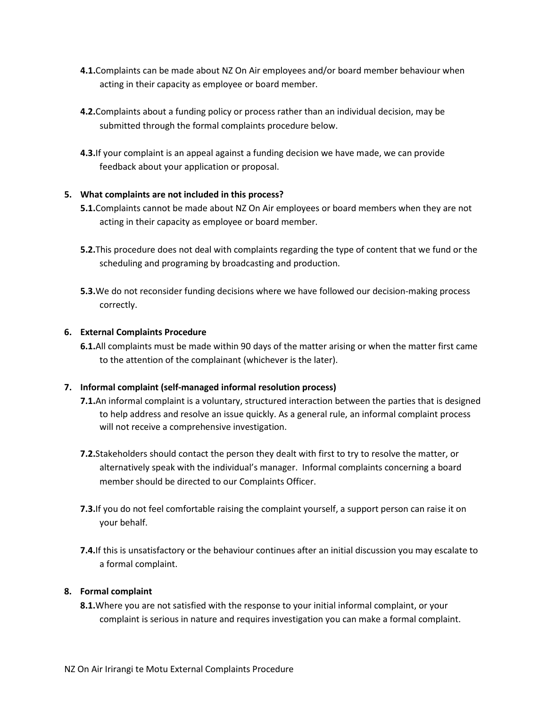- **4.1.**Complaints can be made about NZ On Air employees and/or board member behaviour when acting in their capacity as employee or board member.
- **4.2.**Complaints about a funding policy or process rather than an individual decision, may be submitted through the formal complaints procedure below.
- **4.3.**If your complaint is an appeal against a funding decision we have made, we can provide feedback about your application or proposal.

#### **5. What complaints are not included in this process?**

- **5.1.**Complaints cannot be made about NZ On Air employees or board members when they are not acting in their capacity as employee or board member.
- **5.2.**This procedure does not deal with complaints regarding the type of content that we fund or the scheduling and programing by broadcasting and production.
- **5.3.**We do not reconsider funding decisions where we have followed our decision-making process correctly.

#### **6. External Complaints Procedure**

**6.1.**All complaints must be made within 90 days of the matter arising or when the matter first came to the attention of the complainant (whichever is the later).

#### **7. Informal complaint (self-managed informal resolution process)**

- **7.1.**An informal complaint is a voluntary, structured interaction between the parties that is designed to help address and resolve an issue quickly. As a general rule, an informal complaint process will not receive a comprehensive investigation.
- **7.2.**Stakeholders should contact the person they dealt with first to try to resolve the matter, or alternatively speak with the individual's manager. Informal complaints concerning a board member should be directed to our Complaints Officer.
- **7.3.**If you do not feel comfortable raising the complaint yourself, a support person can raise it on your behalf.
- **7.4.**If this is unsatisfactory or the behaviour continues after an initial discussion you may escalate to a formal complaint.

#### **8. Formal complaint**

**8.1.**Where you are not satisfied with the response to your initial informal complaint, or your complaint is serious in nature and requires investigation you can make a formal complaint.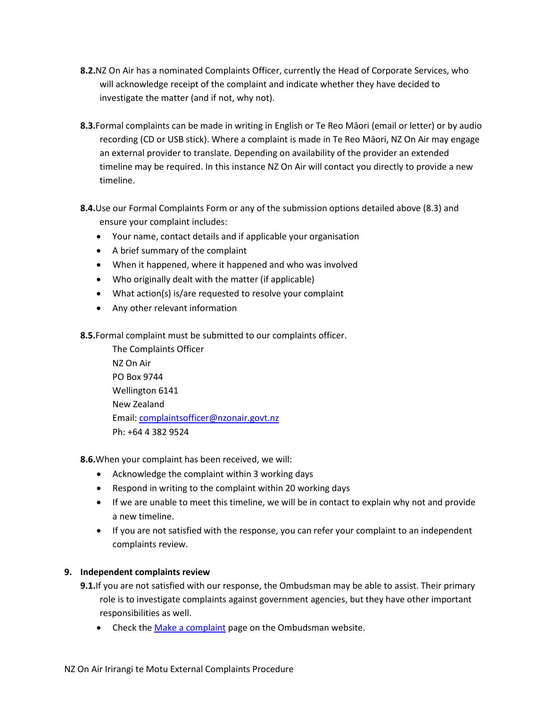- **8.2.**NZ On Air has a nominated Complaints Officer, currently the Head of Corporate Services, who will acknowledge receipt of the complaint and indicate whether they have decided to investigate the matter (and if not, why not).
- **8.3.**Formal complaints can be made in writing in English or Te Reo Māori (email or letter) or by audio recording (CD or USB stick). Where a complaint is made in Te Reo Māori, NZ On Air may engage an external provider to translate. Depending on availability of the provider an extended timeline may be required. In this instance NZ On Air will contact you directly to provide a new timeline.
- **8.4.**Use our Formal Complaints Form or any of the submission options detailed above (8.3) and ensure your complaint includes:
	- Your name, contact details and if applicable your organisation
	- A brief summary of the complaint
	- When it happened, where it happened and who was involved
	- Who originally dealt with the matter (if applicable)
	- What action(s) is/are requested to resolve your complaint
	- Any other relevant information
- **8.5.**Formal complaint must be submitted to our complaints officer.

The Complaints Officer NZ On Air PO Box 9744 Wellington 6141 New Zealand Email: [complaintsofficer@nzonair.govt.nz](mailto:complaintsofficer@nzonair.govt.nz) Ph: +64 4 382 9524

**8.6.**When your complaint has been received, we will:

- Acknowledge the complaint within 3 working days
- Respond in writing to the complaint within 20 working days
- If we are unable to meet this timeline, we will be in contact to explain why not and provide a new timeline.
- If you are not satisfied with the response, you can refer your complaint to an independent complaints review.

# **9. Independent complaints review**

- **9.1.**If you are not satisfied with our response, the Ombudsman may be able to assist. Their primary role is to investigate complaints against government agencies, but they have other important responsibilities as well.
	- Check th[e Make a complaint](https://www.ombudsman.parliament.nz/get-help-public) page on the Ombudsman website.